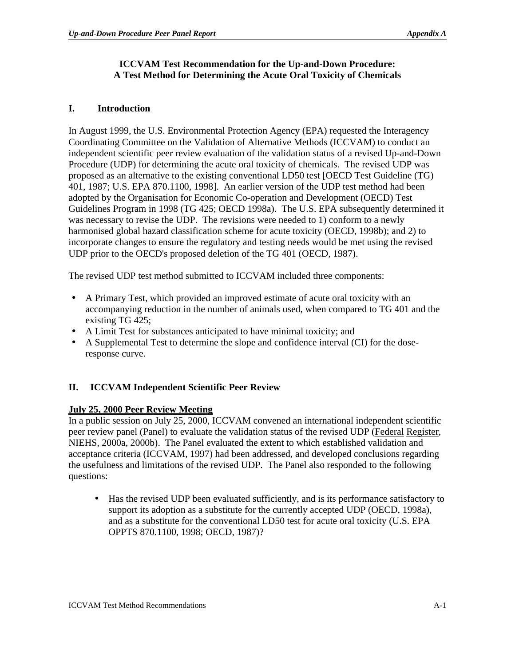#### **ICCVAM Test Recommendation for the Up-and-Down Procedure: A Test Method for Determining the Acute Oral Toxicity of Chemicals**

### **I. Introduction**

In August 1999, the U.S. Environmental Protection Agency (EPA) requested the Interagency Coordinating Committee on the Validation of Alternative Methods (ICCVAM) to conduct an independent scientific peer review evaluation of the validation status of a revised Up-and-Down Procedure (UDP) for determining the acute oral toxicity of chemicals. The revised UDP was proposed as an alternative to the existing conventional LD50 test [OECD Test Guideline (TG) 401, 1987; U.S. EPA 870.1100, 1998]. An earlier version of the UDP test method had been adopted by the Organisation for Economic Co-operation and Development (OECD) Test Guidelines Program in 1998 (TG 425; OECD 1998a). The U.S. EPA subsequently determined it was necessary to revise the UDP. The revisions were needed to 1) conform to a newly harmonised global hazard classification scheme for acute toxicity (OECD, 1998b); and 2) to incorporate changes to ensure the regulatory and testing needs would be met using the revised UDP prior to the OECD's proposed deletion of the TG 401 (OECD, 1987).

The revised UDP test method submitted to ICCVAM included three components:

- A Primary Test, which provided an improved estimate of acute oral toxicity with an accompanying reduction in the number of animals used, when compared to TG 401 and the existing TG 425;
- A Limit Test for substances anticipated to have minimal toxicity; and
- A Supplemental Test to determine the slope and confidence interval (CI) for the doseresponse curve.

### **II. ICCVAM Independent Scientific Peer Review**

### **July 25, 2000 Peer Review Meeting**

In a public session on July 25, 2000, ICCVAM convened an international independent scientific peer review panel (Panel) to evaluate the validation status of the revised UDP (Federal Register, NIEHS, 2000a, 2000b). The Panel evaluated the extent to which established validation and acceptance criteria (ICCVAM, 1997) had been addressed, and developed conclusions regarding the usefulness and limitations of the revised UDP. The Panel also responded to the following questions:

• Has the revised UDP been evaluated sufficiently, and is its performance satisfactory to support its adoption as a substitute for the currently accepted UDP (OECD, 1998a), and as a substitute for the conventional LD50 test for acute oral toxicity (U.S. EPA OPPTS 870.1100, 1998; OECD, 1987)?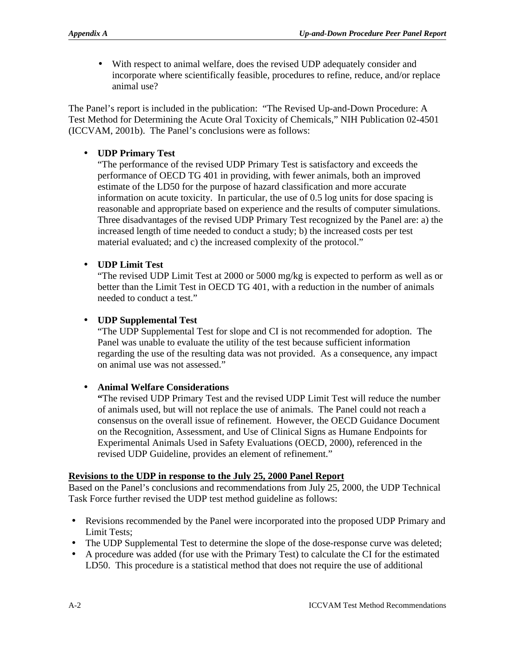• With respect to animal welfare, does the revised UDP adequately consider and incorporate where scientifically feasible, procedures to refine, reduce, and/or replace animal use?

The Panel's report is included in the publication: "The Revised Up-and-Down Procedure: A Test Method for Determining the Acute Oral Toxicity of Chemicals," NIH Publication 02-4501 (ICCVAM, 2001b). The Panel's conclusions were as follows:

## • **UDP Primary Test**

"The performance of the revised UDP Primary Test is satisfactory and exceeds the performance of OECD TG 401 in providing, with fewer animals, both an improved estimate of the LD50 for the purpose of hazard classification and more accurate information on acute toxicity. In particular, the use of 0.5 log units for dose spacing is reasonable and appropriate based on experience and the results of computer simulations. Three disadvantages of the revised UDP Primary Test recognized by the Panel are: a) the increased length of time needed to conduct a study; b) the increased costs per test material evaluated; and c) the increased complexity of the protocol."

## **UDP Limit Test**

"The revised UDP Limit Test at 2000 or 5000 mg/kg is expected to perform as well as or better than the Limit Test in OECD TG 401, with a reduction in the number of animals needed to conduct a test."

## **UDP Supplemental Test**

"The UDP Supplemental Test for slope and CI is not recommended for adoption. The Panel was unable to evaluate the utility of the test because sufficient information regarding the use of the resulting data was not provided. As a consequence, any impact on animal use was not assessed."

### **Animal Welfare Considerations**

**"**The revised UDP Primary Test and the revised UDP Limit Test will reduce the number of animals used, but will not replace the use of animals. The Panel could not reach a consensus on the overall issue of refinement. However, the OECD Guidance Document on the Recognition, Assessment, and Use of Clinical Signs as Humane Endpoints for Experimental Animals Used in Safety Evaluations (OECD, 2000), referenced in the revised UDP Guideline, provides an element of refinement."

## **Revisions to the UDP in response to the July 25, 2000 Panel Report**

Based on the Panel's conclusions and recommendations from July 25, 2000, the UDP Technical Task Force further revised the UDP test method guideline as follows:

- • Revisions recommended by the Panel were incorporated into the proposed UDP Primary and Limit Tests;
- The UDP Supplemental Test to determine the slope of the dose-response curve was deleted;
- • A procedure was added (for use with the Primary Test) to calculate the CI for the estimated LD50. This procedure is a statistical method that does not require the use of additional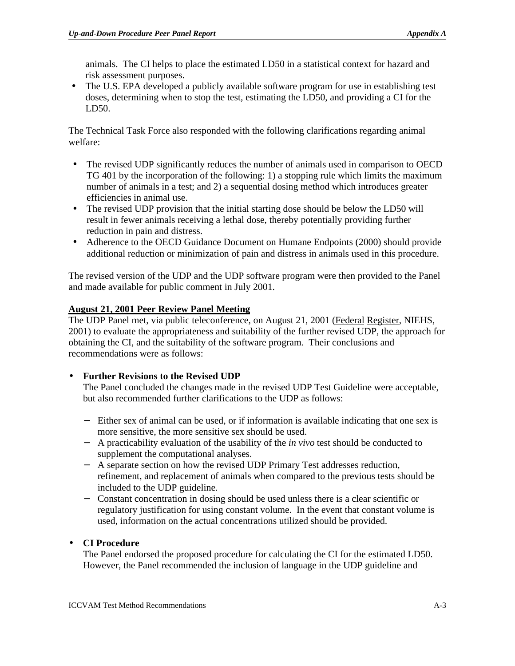animals. The CI helps to place the estimated LD50 in a statistical context for hazard and risk assessment purposes.

• The U.S. EPA developed a publicly available software program for use in establishing test doses, determining when to stop the test, estimating the LD50, and providing a CI for the LD50.

The Technical Task Force also responded with the following clarifications regarding animal welfare:

- The revised UDP significantly reduces the number of animals used in comparison to OECD TG 401 by the incorporation of the following: 1) a stopping rule which limits the maximum number of animals in a test; and 2) a sequential dosing method which introduces greater efficiencies in animal use.
- The revised UDP provision that the initial starting dose should be below the LD50 will result in fewer animals receiving a lethal dose, thereby potentially providing further reduction in pain and distress.
- • Adherence to the OECD Guidance Document on Humane Endpoints (2000) should provide additional reduction or minimization of pain and distress in animals used in this procedure.

The revised version of the UDP and the UDP software program were then provided to the Panel and made available for public comment in July 2001.

## **August 21, 2001 Peer Review Panel Meeting**

The UDP Panel met, via public teleconference, on August 21, 2001 (Federal Register, NIEHS, 2001) to evaluate the appropriateness and suitability of the further revised UDP, the approach for obtaining the CI, and the suitability of the software program. Their conclusions and recommendations were as follows:

### • **Further Revisions to the Revised UDP**

The Panel concluded the changes made in the revised UDP Test Guideline were acceptable, but also recommended further clarifications to the UDP as follows:

- − Either sex of animal can be used, or if information is available indicating that one sex is more sensitive, the more sensitive sex should be used.
- − A practicability evaluation of the usability of the *in vivo* test should be conducted to supplement the computational analyses.
- − A separate section on how the revised UDP Primary Test addresses reduction, refinement, and replacement of animals when compared to the previous tests should be included to the UDP guideline.
- − Constant concentration in dosing should be used unless there is a clear scientific or regulatory justification for using constant volume. In the event that constant volume is used, information on the actual concentrations utilized should be provided.

### • **CI Procedure**

The Panel endorsed the proposed procedure for calculating the CI for the estimated LD50. However, the Panel recommended the inclusion of language in the UDP guideline and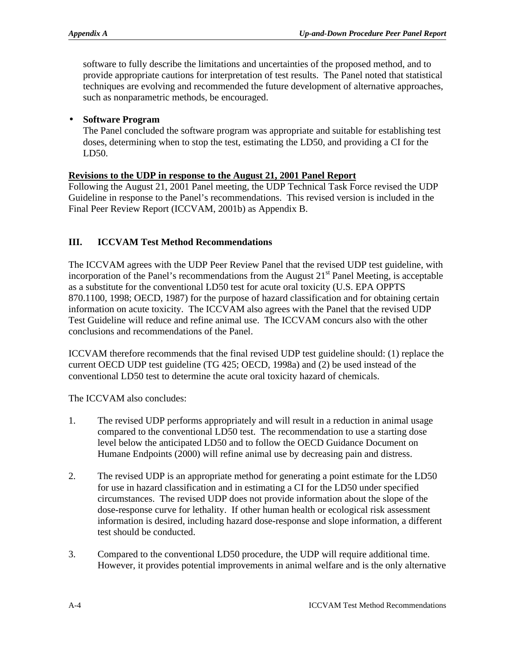software to fully describe the limitations and uncertainties of the proposed method, and to provide appropriate cautions for interpretation of test results. The Panel noted that statistical techniques are evolving and recommended the future development of alternative approaches, such as nonparametric methods, be encouraged.

### • **Software Program**

The Panel concluded the software program was appropriate and suitable for establishing test doses, determining when to stop the test, estimating the LD50, and providing a CI for the LD50.

## **Revisions to the UDP in response to the August 21, 2001 Panel Report**

Following the August 21, 2001 Panel meeting, the UDP Technical Task Force revised the UDP Guideline in response to the Panel's recommendations. This revised version is included in the Final Peer Review Report (ICCVAM, 2001b) as Appendix B.

## **III. ICCVAM Test Method Recommendations**

The ICCVAM agrees with the UDP Peer Review Panel that the revised UDP test guideline, with incorporation of the Panel's recommendations from the August  $21<sup>st</sup>$  Panel Meeting, is acceptable as a substitute for the conventional LD50 test for acute oral toxicity (U.S. EPA OPPTS 870.1100, 1998; OECD, 1987) for the purpose of hazard classification and for obtaining certain information on acute toxicity. The ICCVAM also agrees with the Panel that the revised UDP Test Guideline will reduce and refine animal use. The ICCVAM concurs also with the other conclusions and recommendations of the Panel.

ICCVAM therefore recommends that the final revised UDP test guideline should: (1) replace the current OECD UDP test guideline (TG 425; OECD, 1998a) and (2) be used instead of the conventional LD50 test to determine the acute oral toxicity hazard of chemicals.

The ICCVAM also concludes:

- 1. The revised UDP performs appropriately and will result in a reduction in animal usage compared to the conventional LD50 test. The recommendation to use a starting dose level below the anticipated LD50 and to follow the OECD Guidance Document on Humane Endpoints (2000) will refine animal use by decreasing pain and distress.
- 2. The revised UDP is an appropriate method for generating a point estimate for the LD50 for use in hazard classification and in estimating a CI for the LD50 under specified circumstances. The revised UDP does not provide information about the slope of the dose-response curve for lethality. If other human health or ecological risk assessment information is desired, including hazard dose-response and slope information, a different test should be conducted.
- 3. Compared to the conventional LD50 procedure, the UDP will require additional time. However, it provides potential improvements in animal welfare and is the only alternative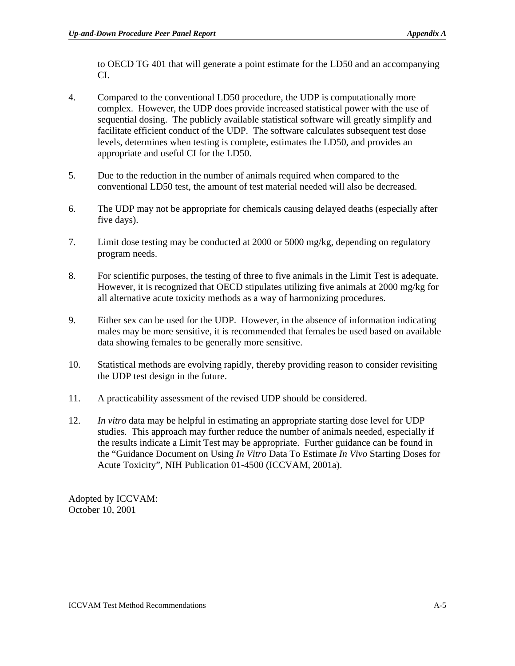to OECD TG 401 that will generate a point estimate for the LD50 and an accompanying CI.

- 4. Compared to the conventional LD50 procedure, the UDP is computationally more complex. However, the UDP does provide increased statistical power with the use of sequential dosing. The publicly available statistical software will greatly simplify and facilitate efficient conduct of the UDP. The software calculates subsequent test dose levels, determines when testing is complete, estimates the LD50, and provides an appropriate and useful CI for the LD50.
- 5. Due to the reduction in the number of animals required when compared to the conventional LD50 test, the amount of test material needed will also be decreased.
- 6. The UDP may not be appropriate for chemicals causing delayed deaths (especially after five days).
- 7. Limit dose testing may be conducted at 2000 or 5000 mg/kg, depending on regulatory program needs.
- 8. For scientific purposes, the testing of three to five animals in the Limit Test is adequate. However, it is recognized that OECD stipulates utilizing five animals at 2000 mg/kg for all alternative acute toxicity methods as a way of harmonizing procedures.
- 9. Either sex can be used for the UDP. However, in the absence of information indicating males may be more sensitive, it is recommended that females be used based on available data showing females to be generally more sensitive.
- 10. Statistical methods are evolving rapidly, thereby providing reason to consider revisiting the UDP test design in the future.
- 11. A practicability assessment of the revised UDP should be considered.
- 12. *In vitro* data may be helpful in estimating an appropriate starting dose level for UDP studies. This approach may further reduce the number of animals needed, especially if the results indicate a Limit Test may be appropriate. Further guidance can be found in the "Guidance Document on Using *In Vitro* Data To Estimate *In Vivo* Starting Doses for Acute Toxicity", NIH Publication 01-4500 (ICCVAM, 2001a).

Adopted by ICCVAM: October 10, 2001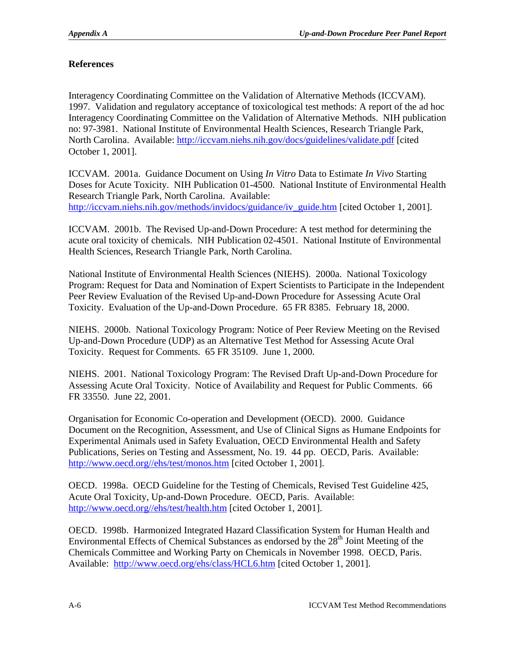# **References**

Interagency Coordinating Committee on the Validation of Alternative Methods (ICCVAM). 1997. Validation and regulatory acceptance of toxicological test methods: A report of the ad hoc Interagency Coordinating Committee on the Validation of Alternative Methods. NIH publication no: 97-3981. National Institute of Environmental Health Sciences, Research Triangle Park, North Carolina. Available: [http://iccvam.niehs.nih.gov/docs/guidelines/validate.pdf \[](http://iccvam.niehs.nih.gov/docs/guidelines/validate.pdf)cited October 1, 2001].

ICCVAM. 2001a. Guidance Document on Using *In Vitro* Data to Estimate *In Vivo* Starting Doses for Acute Toxicity. NIH Publication 01-4500. National Institute of Environmental Health Research Triangle Park, North Carolina. Available: [http://iccvam.niehs.nih.gov/methods/invidocs/guidance/iv\\_guide.htm \[](http://iccvam.niehs.nih.gov/methods/invidocs/guidance/iv_guide.htm)cited October 1, 2001].

ICCVAM. 2001b. The Revised Up-and-Down Procedure: A test method for determining the acute oral toxicity of chemicals. NIH Publication 02-4501. National Institute of Environmental Health Sciences, Research Triangle Park, North Carolina.

National Institute of Environmental Health Sciences (NIEHS). 2000a. National Toxicology Program: Request for Data and Nomination of Expert Scientists to Participate in the Independent Peer Review Evaluation of the Revised Up-and-Down Procedure for Assessing Acute Oral Toxicity. Evaluation of the Up-and-Down Procedure. 65 FR 8385. February 18, 2000.

NIEHS. 2000b. National Toxicology Program: Notice of Peer Review Meeting on the Revised Up-and-Down Procedure (UDP) as an Alternative Test Method for Assessing Acute Oral Toxicity. Request for Comments. 65 FR 35109. June 1, 2000.

NIEHS. 2001. National Toxicology Program: The Revised Draft Up-and-Down Procedure for Assessing Acute Oral Toxicity. Notice of Availability and Request for Public Comments. 66 FR 33550. June 22, 2001.

Organisation for Economic Co-operation and Development (OECD). 2000. Guidance Document on the Recognition, Assessment, and Use of Clinical Signs as Humane Endpoints for Experimental Animals used in Safety Evaluation, OECD Environmental Health and Safety Publications, Series on Testing and Assessment, No. 19. 44 pp. OECD, Paris. Available: [http://www.oecd.org//ehs/test/monos.htm \[](http://www.oecd.org//ehs/test/monos.htm)cited October 1, 2001].

OECD. 1998a. OECD Guideline for the Testing of Chemicals, Revised Test Guideline 425, Acute Oral Toxicity, Up-and-Down Procedure. OECD, Paris. Available: <http://www.oecd.org//ehs/test/health.htm>[cited October 1, 2001].

OECD. 1998b. Harmonized Integrated Hazard Classification System for Human Health and Environmental Effects of Chemical Substances as endorsed by the  $28<sup>th</sup>$  Joint Meeting of the Chemicals Committee and Working Party on Chemicals in November 1998. OECD, Paris. Available: <http://www.oecd.org/ehs/class/HCL6.htm>[cited October 1, 2001].